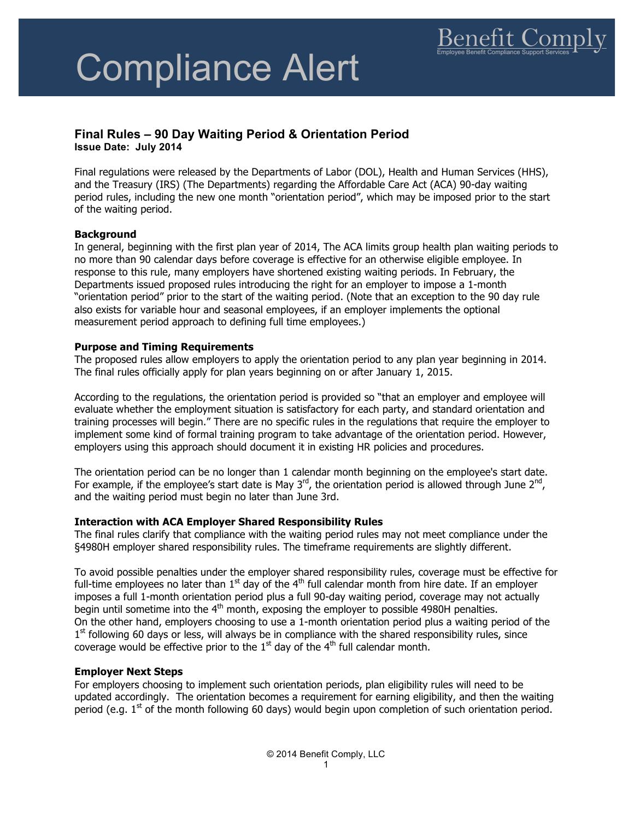# Compliance Alert

## **Final Rules – 90 Day Waiting Period & Orientation Period**

**Issue Date: July 2014**

Final regulations were released by the Departments of Labor (DOL), Health and Human Services (HHS), and the Treasury (IRS) (The Departments) regarding the Affordable Care Act (ACA) 90-day waiting period rules, including the new one month "orientation period", which may be imposed prior to the start of the waiting period.

#### **Background**

In general, beginning with the first plan year of 2014, The ACA limits group health plan waiting periods to no more than 90 calendar days before coverage is effective for an otherwise eligible employee. In response to this rule, many employers have shortened existing waiting periods. In February, the Departments issued proposed rules introducing the right for an employer to impose a 1-month "orientation period" prior to the start of the waiting period. (Note that an exception to the 90 day rule also exists for variable hour and seasonal employees, if an employer implements the optional measurement period approach to defining full time employees.)

#### **Purpose and Timing Requirements**

The proposed rules allow employers to apply the orientation period to any plan year beginning in 2014. The final rules officially apply for plan years beginning on or after January 1, 2015.

According to the regulations, the orientation period is provided so "that an employer and employee will evaluate whether the employment situation is satisfactory for each party, and standard orientation and training processes will begin." There are no specific rules in the regulations that require the employer to implement some kind of formal training program to take advantage of the orientation period. However, employers using this approach should document it in existing HR policies and procedures.

The orientation period can be no longer than 1 calendar month beginning on the employee's start date. For example, if the employee's start date is May  $3<sup>rd</sup>$ , the orientation period is allowed through June  $2<sup>nd</sup>$ , and the waiting period must begin no later than June 3rd.

### **Interaction with ACA Employer Shared Responsibility Rules**

The final rules clarify that compliance with the waiting period rules may not meet compliance under the §4980H employer shared responsibility rules. The timeframe requirements are slightly different.

To avoid possible penalties under the employer shared responsibility rules, coverage must be effective for full-time employees no later than  $1<sup>st</sup>$  day of the 4<sup>th</sup> full calendar month from hire date. If an employer imposes a full 1-month orientation period plus a full 90-day waiting period, coverage may not actually begin until sometime into the  $4<sup>th</sup>$  month, exposing the employer to possible 4980H penalties. On the other hand, employers choosing to use a 1-month orientation period plus a waiting period of the  $1<sup>st</sup>$  following 60 days or less, will always be in compliance with the shared responsibility rules, since coverage would be effective prior to the  $1<sup>st</sup>$  day of the  $4<sup>th</sup>$  full calendar month.

#### **Employer Next Steps**

For employers choosing to implement such orientation periods, plan eligibility rules will need to be updated accordingly. The orientation becomes a requirement for earning eligibility, and then the waiting period (e.g.  $1<sup>st</sup>$  of the month following 60 days) would begin upon completion of such orientation period.